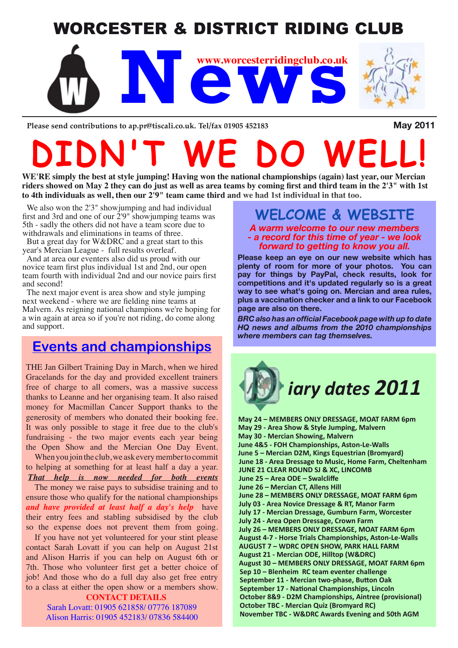# WORCESTER & DISTRICT RIDING CLUB



Please send contributions to ap.pr@tiscali.co.uk. Tel/fax 01905 452183 **May 2011** 

# **DIDN'T WE DO WELL!**

**WE'RE simply the best at style jumping! Having won the national championships (again) last year, our Mercian riders showed on May 2 they can do just as well as area teams by coming first and third team in the 2'3" with 1st to 4th individuals as well, then our 2'9" team came third and we had 1st individual in that too.**

We also won the 2'3" showjumping and had individual first and 3rd and one of our  $2'9''$  showjumping teams was 5th - sadly the others did not have a team score due to withdrawals and eliminations in teams of three.

But a great day for W&DRC and a great start to this year's Mercian League - full results overleaf.

And at area our eventers also did us proud with our novice team first plus individual 1st and 2nd, our open team fourth with individual 2nd and our novice pairs first and second!

The next major event is area show and style jumping next weekend - where we are fielding nine teams at Malvern. As reigning national champions we're hoping for a win again at area so if you're not riding, do come along and support.

### **Events and championships**

THE Jan Gilbert Training Day in March, when we hired Gracelands for the day and provided excellent trainers free of charge to all comers, was a massive success thanks to Leanne and her organising team. It also raised money for Macmillan Cancer Support thanks to the generosity of members who donated their booking fee. It was only possible to stage it free due to the club's fundraising - the two major events each year being the Open Show and the Mercian One Day Event.

When you join the club, we ask every member to commit to helping at something for at least half a day a year. *That help is now needed for both events*

The money we raise pays to subsidise training and to ensure those who qualify for the national championships *and have provided at least half a day's help* have their entry fees and stabling subsidised by the club so the expense does not prevent them from going.

If you have not yet volunteered for your stint please contact Sarah Lovatt if you can help on August 21st and Alison Harris if you can help on August 6th or 7th. Those who volunteer first get a better choice of job! And those who do a full day also get free entry to a class at either the open show or a members show.

#### **CONTACT DETAILS**

Sarah Lovatt: 01905 621858/ 07776 187089 Alison Harris: 01905 452183/ 07836 584400

## **WELCOME & WEBSITE**

*A warm welcome to our new members - a record for this time of year - we look forward to getting to know you all.*

**Please keep an eye on our new website which has plenty of room for more of your photos. You can pay for things by PayPal, check results, look for competitions and it's updated regularly so is a great way to see what's going on. Mercian and area rules, plus a vaccination checker and a link to our Facebook page are also on there.**

*BRC also has an official Facebook page with up to date HQ news and albums from the 2010 championships where members can tag themselves.*



**May 24 – MEMBERS ONLY DRESSAGE, MOAT FARM 6pm May 29 - Area Show & Style Jumping, Malvern May 30 - Mercian Showing, Malvern June 4&5 - FOH Championships, Aston-Le-Walls June 5 – Mercian D2M, Kings Equestrian (Bromyard) June 18 - Area Dressage to Music, Home Farm, Cheltenham JUNE 21 CLEAR ROUND SJ & XC, LINCOMB June 25 – Area ODE – Swalcliffe June 26 – Mercian CT, Allens Hill June 28 – MEMBERS ONLY DRESSAGE, MOAT FARM 6pm July 03 - Area Novice Dressage & RT, Manor Farm July 17 - Mercian Dressage, Gumburn Farm, Worcester July 24 - Area Open Dressage, Crown Farm July 26 – MEMBERS ONLY DRESSAGE, MOAT FARM 6pm August 4-7 - Horse Trials Championships, Aston-Le-Walls AUGUST 7 – WDRC OPEN SHOW, PARK HALL FARM August 21 - Mercian ODE, Hilltop (W&DRC) August 30 – MEMBERS ONLY DRESSAGE, MOAT FARM 6pm Sep 10 – Blenheim RC team eventer challenge September 11 - Mercian two-phase, Button Oak September 17 - National Championships, Lincoln October 8&9 - D2M Championships, Aintree (provisional) October TBC - Mercian Quiz (Bromyard RC) November TBC - W&DRC Awards Evening and 50th AGM**